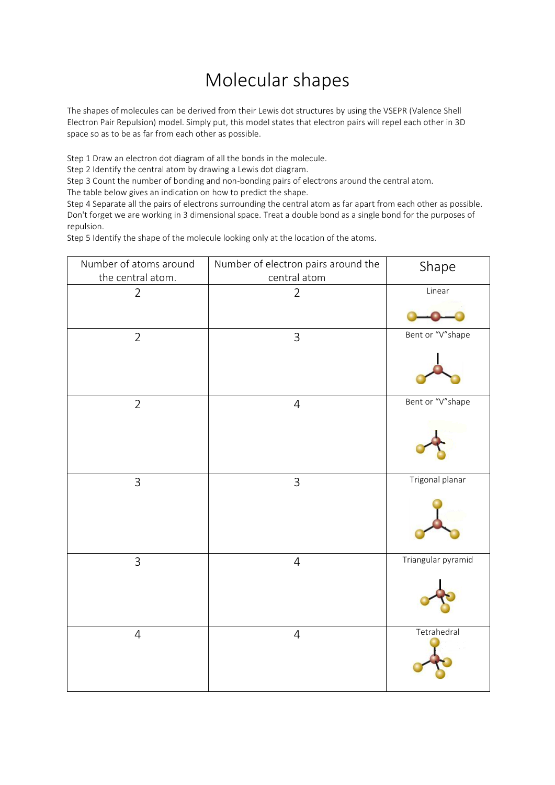## Molecular shapes

The shapes of molecules can be derived from their Lewis dot structures by using the VSEPR (Valence Shell Electron Pair Repulsion) model. Simply put, this model states that electron pairs will repel each other in 3D space so as to be as far from each other as possible.

Step 1 Draw an electron dot diagram of all the bonds in the molecule.

Step 2 Identify the central atom by drawing a Lewis dot diagram.

Step 3 Count the number of bonding and non-bonding pairs of electrons around the central atom.

The table below gives an indication on how to predict the shape.

Step 4 Separate all the pairs of electrons surrounding the central atom as far apart from each other as possible. Don't forget we are working in 3 dimensional space. Treat a double bond as a single bond for the purposes of repulsion.

Step 5 Identify the shape of the molecule looking only at the location of the atoms.

| Number of atoms around<br>the central atom. | Number of electron pairs around the<br>central atom | Shape              |
|---------------------------------------------|-----------------------------------------------------|--------------------|
| $\overline{2}$                              | $\overline{2}$                                      | Linear             |
|                                             |                                                     |                    |
| $\overline{2}$                              | $\mathfrak{Z}$                                      | Bent or "V"shape   |
|                                             |                                                     |                    |
| $\overline{2}$                              | $\sqrt{4}$                                          | Bent or "V"shape   |
|                                             |                                                     |                    |
| $\overline{3}$                              | $\mathsf{3}$                                        | Trigonal planar    |
|                                             |                                                     |                    |
| $\mathsf{3}$                                | $\overline{4}$                                      | Triangular pyramid |
|                                             |                                                     |                    |
| $\overline{4}$                              | $\sqrt{4}$                                          | Tetrahedral        |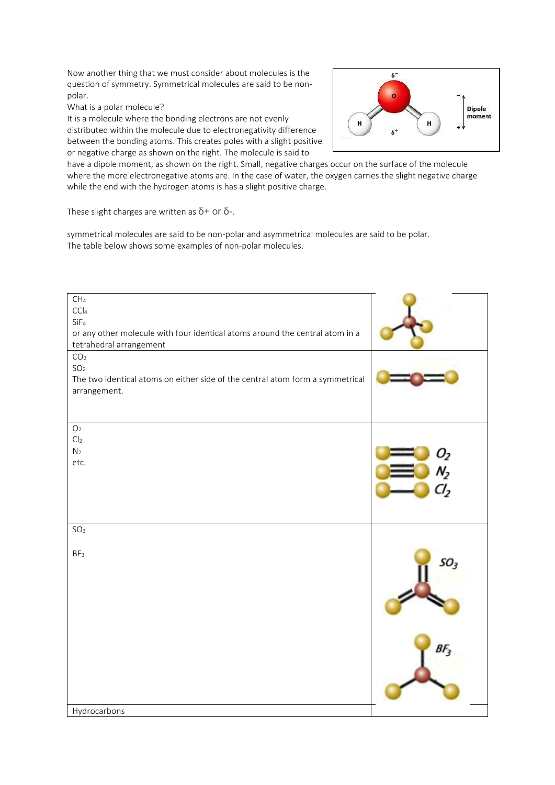Now another thing that we must consider about molecules is the question of symmetry. Symmetrical molecules are said to be nonpolar.

What is a polar molecule?

It is a molecule where the bonding electrons are not evenly distributed within the molecule due to electronegativity difference between the bonding atoms. This creates poles with a slight positive or negative charge as shown on the right. The molecule is said to



have a dipole moment, as shown on the right. Small, negative charges occur on the surface of the molecule where the more electronegative atoms are. In the case of water, the oxygen carries the slight negative charge while the end with the hydrogen atoms is has a slight positive charge.

These slight charges are written as  $\delta$ + or  $\delta$ -.

symmetrical molecules are said to be non-polar and asymmetrical molecules are said to be polar. The table below shows some examples of non-polar molecules.

| CH <sub>4</sub><br>CCI <sub>4</sub><br>SiF <sub>4</sub><br>or any other molecule with four identical atoms around the central atom in a<br>tetrahedral arrangement<br>CO <sub>2</sub><br>SO <sub>2</sub> |                 |
|----------------------------------------------------------------------------------------------------------------------------------------------------------------------------------------------------------|-----------------|
| The two identical atoms on either side of the central atom form a symmetrical<br>arrangement.<br>O <sub>2</sub>                                                                                          |                 |
| Cl <sub>2</sub><br>N <sub>2</sub><br>etc.                                                                                                                                                                |                 |
| SO <sub>3</sub><br>BF <sub>3</sub>                                                                                                                                                                       | SO <sub>3</sub> |
| Hydrocarbons                                                                                                                                                                                             | Bŀ              |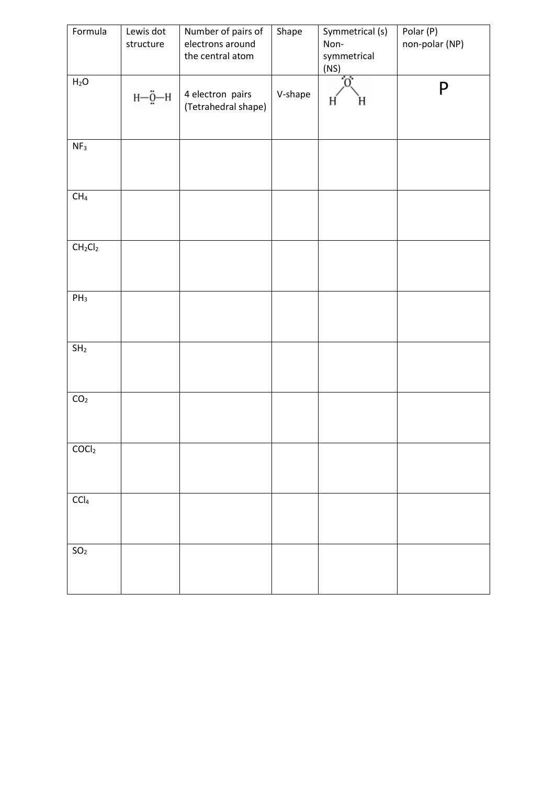| Formula                            | Lewis dot<br>structure                 | Number of pairs of<br>electrons around<br>the central atom | Shape   | Symmetrical (s)<br>Non-<br>symmetrical<br>(NS) | Polar (P)<br>non-polar (NP) |
|------------------------------------|----------------------------------------|------------------------------------------------------------|---------|------------------------------------------------|-----------------------------|
| $H_2O$                             | $H-\underline{\ddot{Q}}-\underline{H}$ | 4 electron pairs<br>(Tetrahedral shape)                    | V-shape | .0.<br>H<br>н                                  | P                           |
| NF <sub>3</sub>                    |                                        |                                                            |         |                                                |                             |
| CH <sub>4</sub>                    |                                        |                                                            |         |                                                |                             |
| CH <sub>2</sub> Cl <sub>2</sub>    |                                        |                                                            |         |                                                |                             |
| $PH_3$                             |                                        |                                                            |         |                                                |                             |
| SH <sub>2</sub>                    |                                        |                                                            |         |                                                |                             |
| $\mathsf{CO}_2$                    |                                        |                                                            |         |                                                |                             |
| COCl <sub>2</sub>                  |                                        |                                                            |         |                                                |                             |
| $\mathsf{C}\mathsf{C}\mathsf{I}_4$ |                                        |                                                            |         |                                                |                             |
| $\mathsf{SO}_2$                    |                                        |                                                            |         |                                                |                             |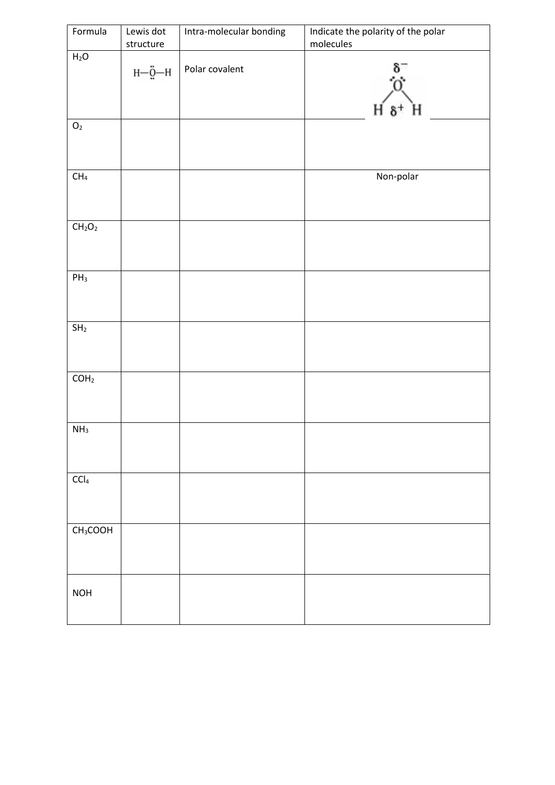| Formula                        | Lewis dot<br>structure  | Intra-molecular bonding | Indicate the polarity of the polar<br>molecules |
|--------------------------------|-------------------------|-------------------------|-------------------------------------------------|
| H <sub>2</sub> O               | н— $\ddot{\text{g}}$ —н | Polar covalent          | $\delta^+$                                      |
| $\mathsf{O}_2$                 |                         |                         |                                                 |
| $\mathsf{CH}_4$                |                         |                         | Non-polar                                       |
| CH <sub>2</sub> O <sub>2</sub> |                         |                         |                                                 |
| $PH_3$                         |                         |                         |                                                 |
| $\mathsf{SH}_2$                |                         |                         |                                                 |
| COH <sub>2</sub>               |                         |                         |                                                 |
| NH <sub>3</sub>                |                         |                         |                                                 |
| $\mathsf{C}\mathsf{Cl}_4$      |                         |                         |                                                 |
| CH <sub>3</sub> COOH           |                         |                         |                                                 |
| <b>NOH</b>                     |                         |                         |                                                 |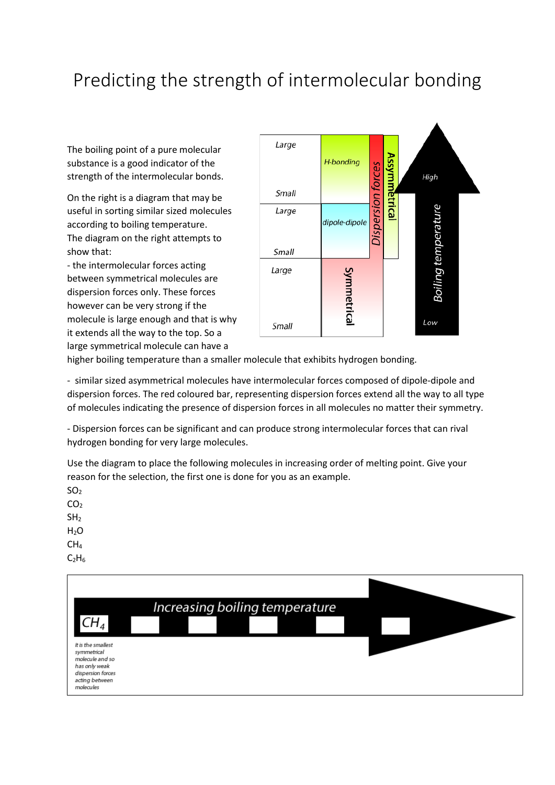## Predicting the strength of intermolecular bonding

The boiling point of a pure molecular substance is a good indicator of the strength of the intermolecular bonds.

On the right is a diagram that may be useful in sorting similar sized molecules according to boiling temperature. The diagram on the right attempts to show that:

- the intermolecular forces acting between symmetrical molecules are dispersion forces only. These forces however can be very strong if the molecule is large enough and that is why it extends all the way to the top. So a large symmetrical molecule can have a



higher boiling temperature than a smaller molecule that exhibits hydrogen bonding.

- similar sized asymmetrical molecules have intermolecular forces composed of dipole-dipole and dispersion forces. The red coloured bar, representing dispersion forces extend all the way to all type of molecules indicating the presence of dispersion forces in all molecules no matter their symmetry.

- Dispersion forces can be significant and can produce strong intermolecular forces that can rival hydrogen bonding for very large molecules.

Use the diagram to place the following molecules in increasing order of melting point. Give your reason for the selection, the first one is done for you as an example.

 $SO<sub>2</sub>$ CO<sub>2</sub>

 $SH<sub>2</sub>$ 

 $H<sub>2</sub>O$ 

CH<sup>4</sup>

 $C_2H_6$ 

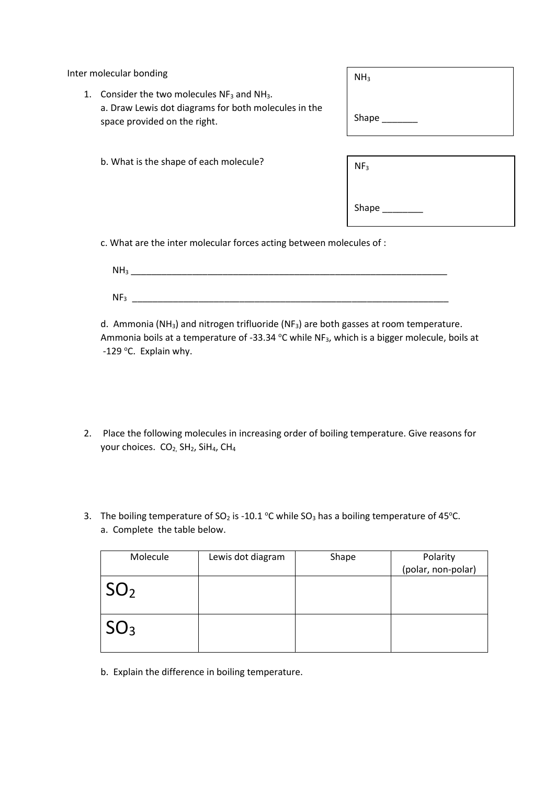Inter molecular bonding

| 1. Consider the two molecules $NF_3$ and $NH_3$ .    |
|------------------------------------------------------|
| a. Draw Lewis dot diagrams for both molecules in the |
| space provided on the right.                         |

- $NH<sub>3</sub>$ Shape
- b. What is the shape of each molecule?

| NF <sub>3</sub> |  |
|-----------------|--|
| Shape           |  |

c. What are the inter molecular forces acting between molecules of :

| NH <sub>3</sub> |  |  |  |
|-----------------|--|--|--|
| NF <sub>3</sub> |  |  |  |

d. Ammonia (NH<sub>3</sub>) and nitrogen trifluoride (NF<sub>3</sub>) are both gasses at room temperature. Ammonia boils at a temperature of -33.34  $\,^{\circ}$ C while NF<sub>3</sub>, which is a bigger molecule, boils at -129 °C. Explain why.

- 2. Place the following molecules in increasing order of boiling temperature. Give reasons for your choices. CO<sub>2,</sub> SH<sub>2</sub>, SiH<sub>4</sub>, CH<sub>4</sub>
- 3. The boiling temperature of SO<sub>2</sub> is -10.1 °C while SO<sub>3</sub> has a boiling temperature of 45°C. a. Complete the table below.

| Molecule        | Lewis dot diagram | Shape | Polarity           |
|-----------------|-------------------|-------|--------------------|
|                 |                   |       | (polar, non-polar) |
| $\mathsf{SO}_2$ |                   |       |                    |
| ${}^1SO_3$      |                   |       |                    |

b. Explain the difference in boiling temperature.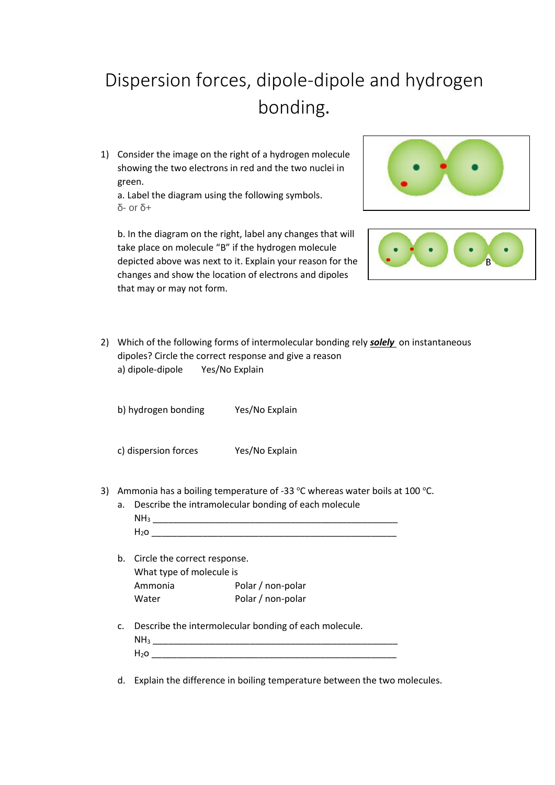## Dispersion forces, dipole-dipole and hydrogen bonding.

1) Consider the image on the right of a hydrogen molecule showing the two electrons in red and the two nuclei in green.

a. Label the diagram using the following symbols. δ- or δ+

b. In the diagram on the right, label any changes that will take place on molecule "B" if the hydrogen molecule depicted above was next to it. Explain your reason for the changes and show the location of electrons and dipoles that may or may not form.





2) Which of the following forms of intermolecular bonding rely *solely* on instantaneous dipoles? Circle the correct response and give a reason a) dipole-dipole Yes/No Explain

b) hydrogen bonding Yes/No Explain

c) dispersion forces Yes/No Explain

3) Ammonia has a boiling temperature of -33  $\degree$ C whereas water boils at 100  $\degree$ C.

a. Describe the intramolecular bonding of each molecule NH<sup>3</sup> \_\_\_\_\_\_\_\_\_\_\_\_\_\_\_\_\_\_\_\_\_\_\_\_\_\_\_\_\_\_\_\_\_\_\_\_\_\_\_\_\_\_\_\_\_\_\_\_  $H_2$ o  $\overline{\phantom{a}}$ 

- b. Circle the correct response. What type of molecule is Ammonia Polar / non-polar Water Polar / non-polar
- c. Describe the intermolecular bonding of each molecule. NH<sup>3</sup> \_\_\_\_\_\_\_\_\_\_\_\_\_\_\_\_\_\_\_\_\_\_\_\_\_\_\_\_\_\_\_\_\_\_\_\_\_\_\_\_\_\_\_\_\_\_\_\_

| ۰ |  |  |  |
|---|--|--|--|
| - |  |  |  |
|   |  |  |  |

d. Explain the difference in boiling temperature between the two molecules.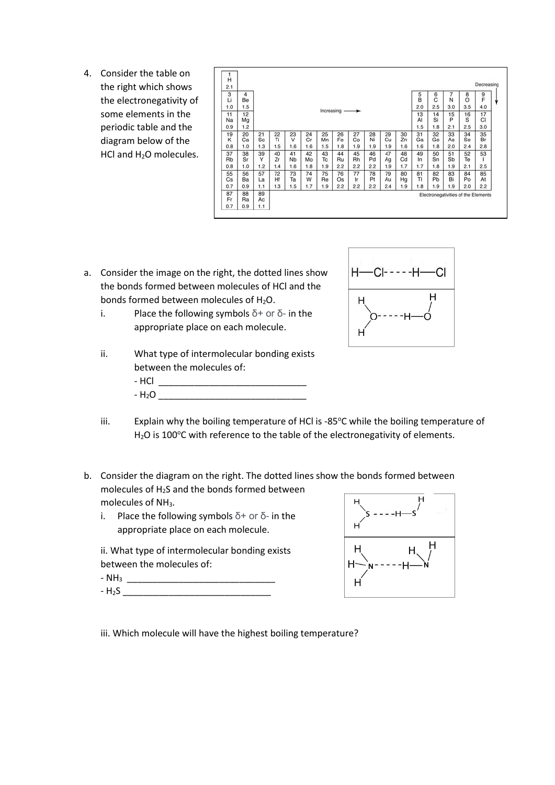4. Consider the table on the right which shows the electronegativity of some elements in the periodic table and the diagram below of the HCl and H2O molecules.

| H<br>2.1               |                        |                |                 |                 |                 |                 |                 |                 |                 |                 |                 |                        |                        |                                     |                       | Decreasing             |
|------------------------|------------------------|----------------|-----------------|-----------------|-----------------|-----------------|-----------------|-----------------|-----------------|-----------------|-----------------|------------------------|------------------------|-------------------------------------|-----------------------|------------------------|
| 3<br>Li                | 4<br>Be                |                |                 |                 |                 |                 |                 |                 |                 |                 |                 | $\frac{5}{B}$          | 6 <sub>C</sub>         | 7<br>N                              | 8<br>$\circ$          | 9<br>F                 |
| 1.0<br>11<br>Na<br>0.9 | 1.5<br>12<br>Mg<br>1.2 |                |                 |                 |                 | Increasing      |                 |                 |                 |                 |                 | 2.0<br>13<br>AI<br>1.5 | 2.5<br>14<br>Si<br>1.8 | 3.0<br>15<br>P<br>2.1               | 3.5<br>16<br>S<br>2.5 | 4.0<br>17<br>CI<br>3.0 |
| 19<br>κ                | 20<br>Сa               | 21<br>Sc       | 22<br>Tì        | 23<br>v         | 24<br>Cr        | 25<br>Mn        | 26<br>Fe        | 27<br>Co        | 28<br>Ni        | 29<br>Cu        | 30<br>Zni       | 31<br>Ga               | 32<br>Ge               | 33<br>As                            | 34<br>Se              | 35<br>Br               |
| 0.8                    | 1.0                    | 1.3            | 1.5             | 1.6             | 1.6             | 1.5             | 1.8             | 1.9             | 1.9             | 1.9             | 1.6             | 1.6                    | 1.8                    | 2.0                                 | 2.4                   | 2.8                    |
| 37<br>Rb<br>0.8        | 38<br>Sr<br>1.0        | 39<br>Y<br>1.2 | 40<br>Zr<br>1.4 | 41<br>Nb<br>1.6 | 42<br>Mo<br>1.8 | 43<br>Tc<br>1.9 | 44<br>Ru<br>2.2 | 45<br>Rh<br>2.2 | 46<br>Pd<br>2.2 | 47<br>Ag<br>1.9 | 48<br>Cd<br>1.7 | 49<br>In<br>1.7        | 50<br>Sn<br>1.8        | 51<br>Sb<br>1.9                     | 52<br>Te<br>2.1       | 53<br>2.5              |
| 55<br>Cs               | 56<br>Ba               | 57<br>La       | 72<br>Hf        | 73<br>Ta        | 74<br>W         | 75<br>Re        | 76<br>Os        | 77<br>Ir        | 78<br>Pt        | 79<br>Au        | 80<br>Hg        | 81<br>TI               | 82<br>Pb               | 83<br>Bi                            | 84<br>Po              | 85<br>At               |
| 0.7                    | 0.9                    | 1.1            | 1.3             | 1.5             | 1.7             | 1.9             | 2.2             | 2.2             | 2.2             | 2.4             | 1.9             | 1.8                    | 1.9                    | 1.9                                 | 2.0                   | 2.2                    |
| 87<br>Fr               | 88<br>Ra               | 89<br>Ac       |                 |                 |                 |                 |                 |                 |                 |                 |                 |                        |                        | Electronegativities of the Elements |                       |                        |
| 0.7                    | 0.9                    | 1.1            |                 |                 |                 |                 |                 |                 |                 |                 |                 |                        |                        |                                     |                       |                        |

- a. Consider the image on the right, the dotted lines show the bonds formed between molecules of HCl and the bonds formed between molecules of H<sub>2</sub>O.
	- i. Place the following symbols  $\delta$ + or  $\delta$  in the appropriate place on each molecule.
	- ii. What type of intermolecular bonding exists between the molecules of: - HCl \_\_\_\_\_\_\_\_\_\_\_\_\_\_\_\_\_\_\_\_\_\_\_\_\_\_\_\_\_  $-H_2O$



- iii. Explain why the boiling temperature of HCl is -85°C while the boiling temperature of  $H<sub>2</sub>O$  is 100°C with reference to the table of the electronegativity of elements.
- b. Consider the diagram on the right. The dotted lines show the bonds formed between molecules of H2S and the bonds formed between molecules of NH<sub>3</sub>.
	- i. Place the following symbols  $\delta$ + or  $\delta$  in the appropriate place on each molecule.
	- ii. What type of intermolecular bonding exists between the molecules of:
	- $\text{NH}_3$ - H2S \_\_\_\_\_\_\_\_\_\_\_\_\_\_\_\_\_\_\_\_\_\_\_\_\_\_\_\_\_



iii. Which molecule will have the highest boiling temperature?